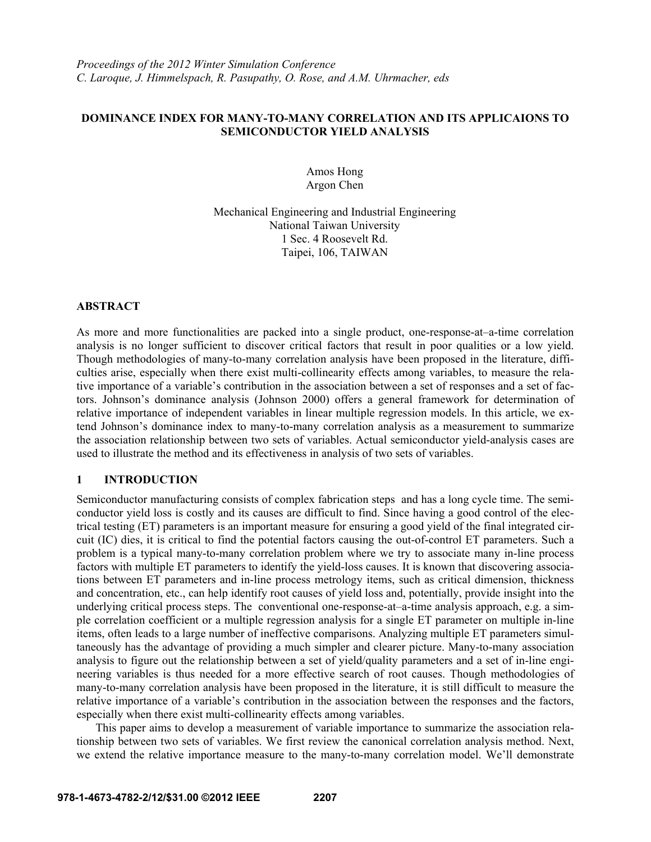## **DOMINANCE INDEX FOR MANY-TO-MANY CORRELATION AND ITS APPLICAIONS TO SEMICONDUCTOR YIELD ANALYSIS**

Amos Hong Argon Chen

Mechanical Engineering and Industrial Engineering National Taiwan University 1 Sec. 4 Roosevelt Rd. Taipei, 106, TAIWAN

### **ABSTRACT**

As more and more functionalities are packed into a single product, one-response-at–a-time correlation analysis is no longer sufficient to discover critical factors that result in poor qualities or a low yield. Though methodologies of many-to-many correlation analysis have been proposed in the literature, difficulties arise, especially when there exist multi-collinearity effects among variables, to measure the relative importance of a variable's contribution in the association between a set of responses and a set of factors. Johnson's dominance analysis (Johnson 2000) offers a general framework for determination of relative importance of independent variables in linear multiple regression models. In this article, we extend Johnson's dominance index to many-to-many correlation analysis as a measurement to summarize the association relationship between two sets of variables. Actual semiconductor yield-analysis cases are used to illustrate the method and its effectiveness in analysis of two sets of variables.

## **1 INTRODUCTION**

Semiconductor manufacturing consists of complex fabrication steps and has a long cycle time. The semiconductor yield loss is costly and its causes are difficult to find. Since having a good control of the electrical testing (ET) parameters is an important measure for ensuring a good yield of the final integrated circuit (IC) dies, it is critical to find the potential factors causing the out-of-control ET parameters. Such a problem is a typical many-to-many correlation problem where we try to associate many in-line process factors with multiple ET parameters to identify the yield-loss causes. It is known that discovering associations between ET parameters and in-line process metrology items, such as critical dimension, thickness and concentration, etc., can help identify root causes of yield loss and, potentially, provide insight into the underlying critical process steps. The conventional one-response-at–a-time analysis approach, e.g. a simple correlation coefficient or a multiple regression analysis for a single ET parameter on multiple in-line items, often leads to a large number of ineffective comparisons. Analyzing multiple ET parameters simultaneously has the advantage of providing a much simpler and clearer picture. Many-to-many association analysis to figure out the relationship between a set of yield/quality parameters and a set of in-line engineering variables is thus needed for a more effective search of root causes. Though methodologies of many-to-many correlation analysis have been proposed in the literature, it is still difficult to measure the relative importance of a variable's contribution in the association between the responses and the factors, especially when there exist multi-collinearity effects among variables.

 This paper aims to develop a measurement of variable importance to summarize the association relationship between two sets of variables. We first review the canonical correlation analysis method. Next, we extend the relative importance measure to the many-to-many correlation model. We'll demonstrate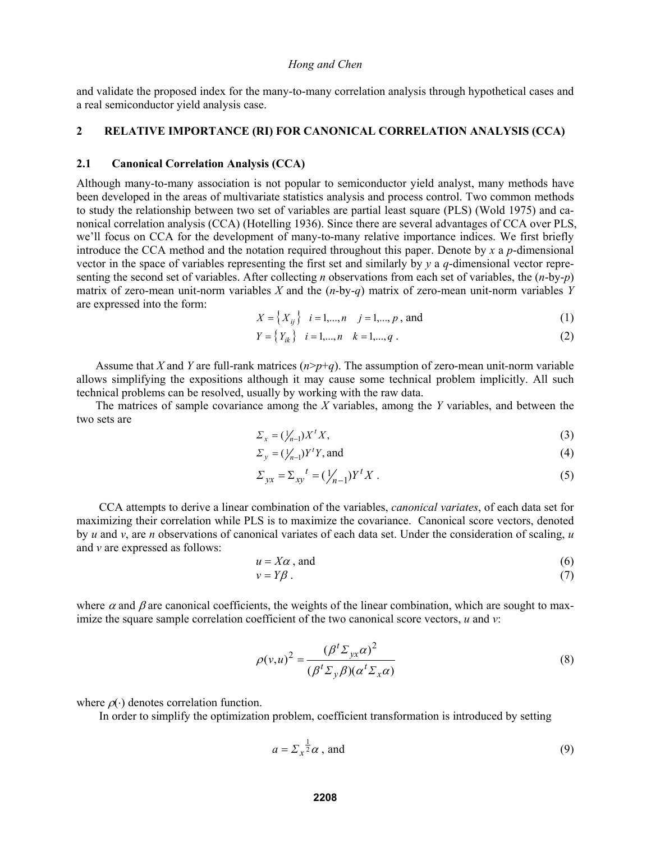and validate the proposed index for the many-to-many correlation analysis through hypothetical cases and a real semiconductor yield analysis case.

# **2 RELATIVE IMPORTANCE (RI) FOR CANONICAL CORRELATION ANALYSIS (CCA)**

### **2.1 Canonical Correlation Analysis (CCA)**

Although many-to-many association is not popular to semiconductor yield analyst, many methods have been developed in the areas of multivariate statistics analysis and process control. Two common methods to study the relationship between two set of variables are partial least square (PLS) (Wold 1975) and canonical correlation analysis (CCA) (Hotelling 1936). Since there are several advantages of CCA over PLS, we'll focus on CCA for the development of many-to-many relative importance indices. We first briefly introduce the CCA method and the notation required throughout this paper. Denote by *x* a *p*-dimensional vector in the space of variables representing the first set and similarly by *y* a *q*-dimensional vector representing the second set of variables. After collecting *n* observations from each set of variables, the (*n*-by-*p*) matrix of zero-mean unit-norm variables *X* and the (*n*-by-*q*) matrix of zero-mean unit-norm variables *Y* are expressed into the form:

$$
X = \{X_{ij}\} \quad i = 1,...,n \quad j = 1,...,p \text{, and} \tag{1}
$$

$$
Y = \{Y_{ik}\}\quad i = 1,...,n \quad k = 1,...,q
$$
 (2)

Assume that *X* and *Y* are full-rank matrices  $(n \geq p+q)$ . The assumption of zero-mean unit-norm variable allows simplifying the expositions although it may cause some technical problem implicitly. All such technical problems can be resolved, usually by working with the raw data.

 The matrices of sample covariance among the *X* variables, among the *Y* variables, and between the two sets are

$$
\Sigma_x = (\mathcal{V}_{n-1}) X^t X,\tag{3}
$$

$$
\sum_{y} = (\frac{1}{n-1})Y^t Y, \text{and} \tag{4}
$$

$$
\Sigma_{yx} = \Sigma_{xy}^{\ \ t} = (\frac{1}{n-1})Y^t X \ . \tag{5}
$$

CCA attempts to derive a linear combination of the variables, *canonical variates*, of each data set for maximizing their correlation while PLS is to maximize the covariance. Canonical score vectors, denoted by *u* and *v*, are *n* observations of canonical variates of each data set. Under the consideration of scaling, *u* and *v* are expressed as follows:

$$
u = X\alpha \text{, and} \tag{6}
$$

$$
v = Y\beta \tag{7}
$$

where  $\alpha$  and  $\beta$  are canonical coefficients, the weights of the linear combination, which are sought to maximize the square sample correlation coefficient of the two canonical score vectors, *u* and *v*:

$$
\rho(v,u)^2 = \frac{(\beta^t \Sigma_{yx} \alpha)^2}{(\beta^t \Sigma_y \beta)(\alpha^t \Sigma_x \alpha)}
$$
\n(8)

where  $\rho(\cdot)$  denotes correlation function.

In order to simplify the optimization problem, coefficient transformation is introduced by setting

$$
a = \Sigma_x^{\frac{1}{2}} \alpha \text{, and} \tag{9}
$$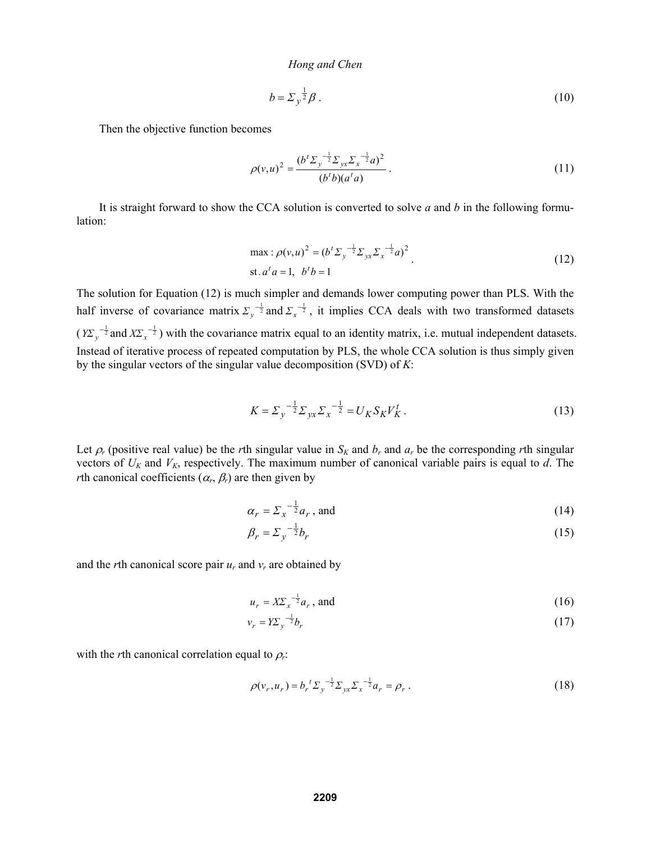$$
b = \sum_{y} \frac{1}{2} \beta \tag{10}
$$

Then the objective function becomes

$$
\rho(v, u)^2 = \frac{(b^t \Sigma_y^{-\frac{1}{2}} \Sigma_{yx} \Sigma_x^{-\frac{1}{2}} a)^2}{(b^t b)(a^t a)}.
$$
\n(11)

It is straight forward to show the CCA solution is converted to solve *a* and *b* in the following formulation:

max: 
$$
\rho(v, u)^2 = (b^t \Sigma_y^{-\frac{1}{2}} \Sigma_{yx} \Sigma_x^{-\frac{1}{2}} a)^2
$$
  
st.  $a^t a = 1$ ,  $b^t b = 1$  (12)

The solution for Equation (12) is much simpler and demands lower computing power than PLS. With the half inverse of covariance matrix  $\Sigma$ <sub>*y*</sub> $\frac{1}{2}$  and  $\Sigma$ <sub>*x*</sub> $\frac{1}{2}$ </sub>, it implies CCA deals with two transformed datasets  $(Y \sum_{y} \frac{1}{2}$  and  $X \sum_{x} \frac{1}{2}$ ) with the covariance matrix equal to an identity matrix, i.e. mutual independent datasets. Instead of iterative process of repeated computation by PLS, the whole CCA solution is thus simply given by the singular vectors of the singular value decomposition (SVD) of *K*:

$$
K = \Sigma_y^{-\frac{1}{2}} \Sigma_{yx} \Sigma_x^{-\frac{1}{2}} = U_K S_K V_K^t \,. \tag{13}
$$

Let  $\rho_r$  (positive real value) be the *r*th singular value in  $S_K$  and  $b_r$  and  $a_r$  be the corresponding *r*th singular vectors of  $U_K$  and  $V_K$ , respectively. The maximum number of canonical variable pairs is equal to  $d$ . The *r*th canonical coefficients ( $\alpha_r$ ,  $\beta_r$ ) are then given by

$$
\alpha_r = \Sigma_x^{-\frac{1}{2}} a_r, \text{ and} \tag{14}
$$

$$
\beta_r = \sum_{y} \frac{-\frac{1}{2}}{b_r} \tag{15}
$$

and the *r*th canonical score pair  $u_r$  and  $v_r$  are obtained by

$$
u_r = X\Sigma_x^{-\frac{1}{2}}a_r, \text{ and } \tag{16}
$$

$$
v_r = Y \Sigma_v^{-\frac{1}{2}} b_r \tag{17}
$$

with the *r*th canonical correlation equal to  $\rho_r$ :

$$
\rho(v_r, u_r) = b_r^{\ t} \Sigma_y^{-\frac{1}{2}} \Sigma_{yx} \Sigma_x^{-\frac{1}{2}} a_r = \rho_r \ . \tag{18}
$$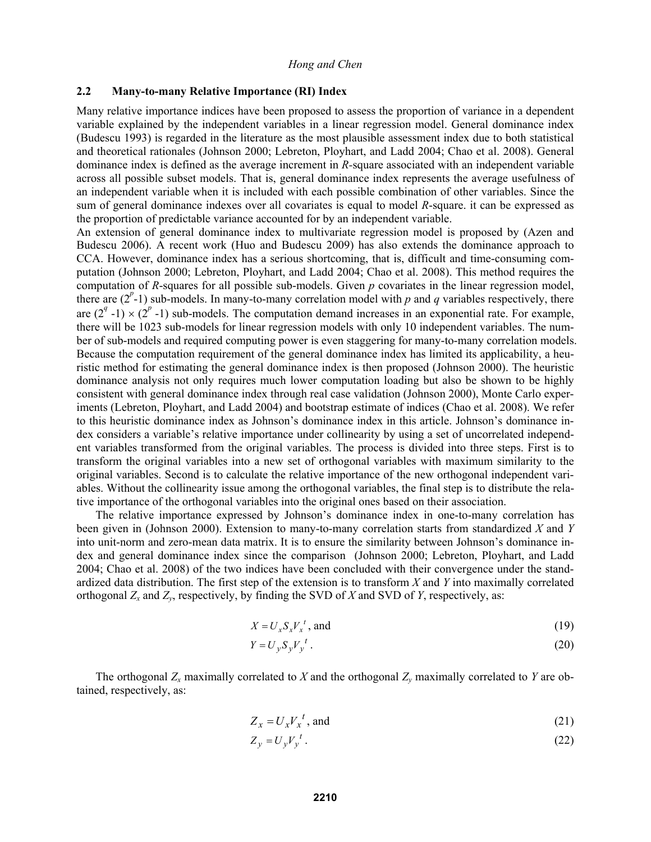### **2.2 Many-to-many Relative Importance (RI) Index**

Many relative importance indices have been proposed to assess the proportion of variance in a dependent variable explained by the independent variables in a linear regression model. General dominance index (Budescu 1993) is regarded in the literature as the most plausible assessment index due to both statistical and theoretical rationales (Johnson 2000; Lebreton, Ployhart, and Ladd 2004; Chao et al. 2008). General dominance index is defined as the average increment in *R-*square associated with an independent variable across all possible subset models. That is, general dominance index represents the average usefulness of an independent variable when it is included with each possible combination of other variables. Since the sum of general dominance indexes over all covariates is equal to model *R*-square. it can be expressed as the proportion of predictable variance accounted for by an independent variable.

An extension of general dominance index to multivariate regression model is proposed by (Azen and Budescu 2006). A recent work (Huo and Budescu 2009) has also extends the dominance approach to CCA. However, dominance index has a serious shortcoming, that is, difficult and time-consuming computation (Johnson 2000; Lebreton, Ployhart, and Ladd 2004; Chao et al. 2008). This method requires the computation of *R*-squares for all possible sub-models. Given *p* covariates in the linear regression model, there are  $(2^p-1)$  sub-models. In many-to-many correlation model with *p* and *q* variables respectively, there are  $(2^q -1) \times (2^p -1)$  sub-models. The computation demand increases in an exponential rate. For example, there will be 1023 sub-models for linear regression models with only 10 independent variables. The number of sub-models and required computing power is even staggering for many-to-many correlation models. Because the computation requirement of the general dominance index has limited its applicability, a heuristic method for estimating the general dominance index is then proposed (Johnson 2000). The heuristic dominance analysis not only requires much lower computation loading but also be shown to be highly consistent with general dominance index through real case validation (Johnson 2000), Monte Carlo experiments (Lebreton, Ployhart, and Ladd 2004) and bootstrap estimate of indices (Chao et al. 2008). We refer to this heuristic dominance index as Johnson's dominance index in this article. Johnson's dominance index considers a variable's relative importance under collinearity by using a set of uncorrelated independent variables transformed from the original variables. The process is divided into three steps. First is to transform the original variables into a new set of orthogonal variables with maximum similarity to the original variables. Second is to calculate the relative importance of the new orthogonal independent variables. Without the collinearity issue among the orthogonal variables, the final step is to distribute the relative importance of the orthogonal variables into the original ones based on their association.

 The relative importance expressed by Johnson's dominance index in one-to-many correlation has been given in (Johnson 2000). Extension to many-to-many correlation starts from standardized *X* and *Y* into unit-norm and zero-mean data matrix. It is to ensure the similarity between Johnson's dominance index and general dominance index since the comparison (Johnson 2000; Lebreton, Ployhart, and Ladd 2004; Chao et al. 2008) of the two indices have been concluded with their convergence under the standardized data distribution. The first step of the extension is to transform *X* and *Y* into maximally correlated orthogonal *Zx* and *Zy*, respectively, by finding the SVD of *X* and SVD of *Y*, respectively, as:

$$
X = U_x S_x V_x^t, \text{ and } \tag{19}
$$

$$
Y = U_y S_y V_y^t. \tag{20}
$$

The orthogonal  $Z_x$  maximally correlated to *X* and the orthogonal  $Z_y$  maximally correlated to *Y* are obtained, respectively, as:

$$
Z_x = U_x V_x^t, \text{ and } \tag{21}
$$

$$
Z_y = U_y V_y^t. \tag{22}
$$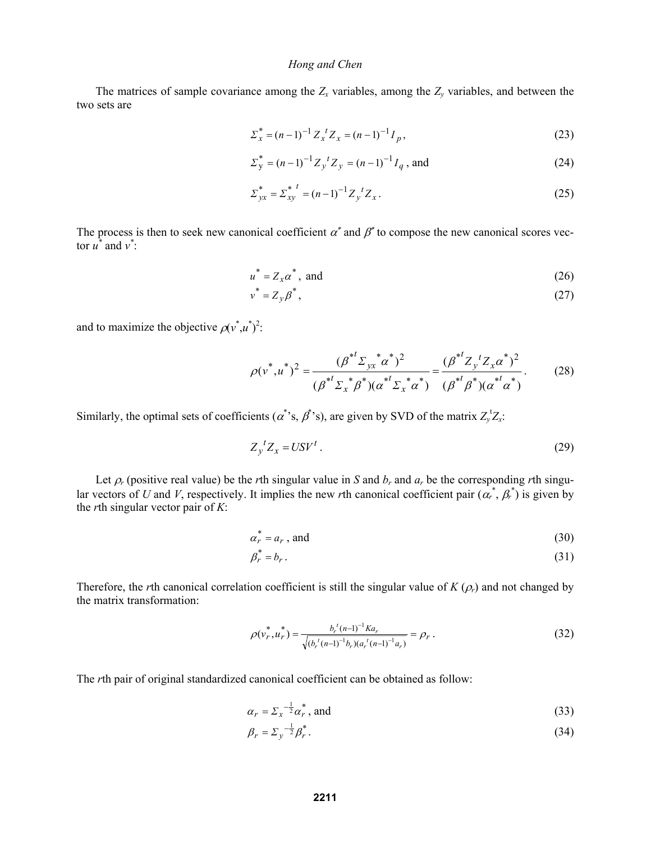The matrices of sample covariance among the  $Z_x$  variables, among the  $Z_y$  variables, and between the two sets are

$$
\Sigma_x^* = (n-1)^{-1} Z_x^{\ t} Z_x = (n-1)^{-1} I_p, \tag{23}
$$

$$
\Sigma_{y}^{*} = (n-1)^{-1} Z_{y}^{t} Z_{y} = (n-1)^{-1} I_{q} , \text{ and}
$$
 (24)

$$
\Sigma_{yx}^* = \Sigma_{xy}^{*t} = (n-1)^{-1} Z_y^t Z_x.
$$
 (25)

The process is then to seek new canonical coefficient  $\alpha^*$  and  $\beta^*$  to compose the new canonical scores vector  $u^*$  and  $v^*$ :

$$
u^* = Z_x \alpha^*, \text{ and } \tag{26}
$$

$$
v^* = Z_y \beta^*,\tag{27}
$$

and to maximize the objective  $\rho(v^*, u^*)^2$ :

$$
\rho(v^*, u^*)^2 = \frac{(\beta^{*t} \Sigma_{yx}^* \alpha^*)^2}{(\beta^{*t} \Sigma_x^* \beta^*) (\alpha^{*t} \Sigma_x^* \alpha^*)} = \frac{(\beta^{*t} \Sigma_y^* \Sigma_x \alpha^*)^2}{(\beta^{*t} \beta^*) (\alpha^{*t} \alpha^*)}.
$$
(28)

Similarly, the optimal sets of coefficients ( $\alpha^*$ 's,  $\beta^*$ 's), are given by SVD of the matrix  $Z_y^{\dagger}Z_x$ :

$$
Z_y^{\ t} Z_x = U S V^t \,. \tag{29}
$$

Let  $\rho_r$  (positive real value) be the *r*th singular value in *S* and  $b_r$  and  $a_r$  be the corresponding *r*th singular vectors of *U* and *V*, respectively. It implies the new *r*th canonical coefficient pair  $(\alpha_r^*, \beta_r^*)$  is given by the *r*th singular vector pair of *K*:

$$
\alpha_r^* = a_r \text{, and} \tag{30}
$$

$$
\beta_r^* = b_r. \tag{31}
$$

Therefore, the *r*th canonical correlation coefficient is still the singular value of  $K(\rho_r)$  and not changed by the matrix transformation:

$$
\rho(\mathbf{v}_r^*, \mathbf{u}_r^*) = \frac{b_r^{\ t}(n-1)^{-1}Ka_r}{\sqrt{(b_r^{\ t}(n-1)^{-1}b_r)(a_r^{\ t}(n-1)^{-1}a_r)}} = \rho_r \,. \tag{32}
$$

The *r*th pair of original standardized canonical coefficient can be obtained as follow:

$$
\alpha_r = \Sigma_x^{-\frac{1}{2}} \alpha_r^*, \text{ and} \tag{33}
$$

$$
\beta_r = \Sigma_y^{-\frac{1}{2}} \beta_r^* \,. \tag{34}
$$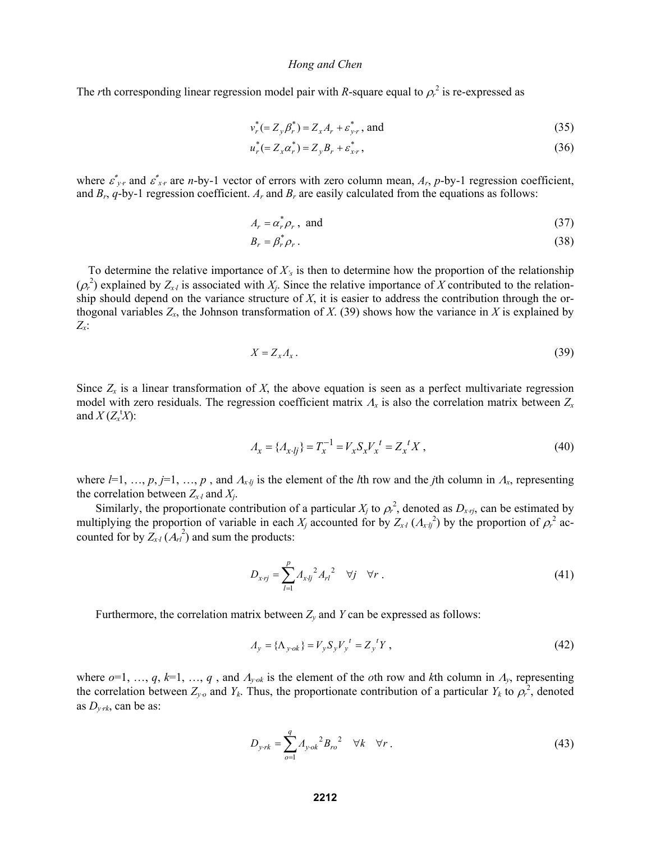The *r*th corresponding linear regression model pair with *R*-square equal to  $\rho_r^2$  is re-expressed as

$$
v_r^* (= Z_y \beta_r^*) = Z_x A_r + \varepsilon_{y \cdot r}^*, \text{ and} \tag{35}
$$

$$
u_r^* (= Z_x \alpha_r^*) = Z_y B_r + \varepsilon_{x}^*,
$$
\n(36)

where  $\varepsilon_{y,r}^*$  and  $\varepsilon_{x,r}^*$  are *n*-by-1 vector of errors with zero column mean,  $A_r$ , *p*-by-1 regression coefficient, and  $B_r$ ,  $q$ -by-1 regression coefficient.  $A_r$  and  $B_r$  are easily calculated from the equations as follows:

$$
A_r = \alpha_r^* \rho_r, \text{ and } (37)
$$

$$
B_r = \beta_r^* \rho_r \,. \tag{38}
$$

To determine the relative importance of  $X<sub>s</sub>$  is then to determine how the proportion of the relationship  $(\rho_r^2)$  explained by  $Z_{x,i}$  is associated with  $X_i$ . Since the relative importance of *X* contributed to the relationship should depend on the variance structure of *X*, it is easier to address the contribution through the orthogonal variables  $Z_x$ , the Johnson transformation of *X*. (39) shows how the variance in *X* is explained by *Zx*:

$$
X = Z_x A_x. \tag{39}
$$

Since  $Z_x$  is a linear transformation of  $X$ , the above equation is seen as a perfect multivariate regression model with zero residuals. The regression coefficient matrix  $A_x$  is also the correlation matrix between  $Z_x$ and  $X(Z_x^{\dagger}X)$ :

$$
A_x = \{A_{x\cdot l_j}\} = T_x^{-1} = V_x S_x V_x^t = Z_x^t X,
$$
\n(40)

where  $l=1, ..., p, j=1, ..., p$ , and  $A_{x,lj}$  is the element of the *l*th row and the *j*th column in  $A_x$ , representing the correlation between  $Z_{x,i}$  and  $X_i$ .

Similarly, the proportionate contribution of a particular  $X_j$  to  $\rho_r^2$ , denoted as  $D_{x\eta_j}$ , can be estimated by multiplying the proportion of variable in each  $X_j$  accounted for by  $Z_{x}$  ( $A_{x}$ <sup>2</sup>) by the proportion of  $\rho_r^2$  accounted for by  $Z_{x}$ <sup>2</sup> ( $A_{r}$ <sup>2</sup>) and sum the products:

$$
D_{x\,rj} = \sum_{l=1}^{p} A_{x\,lj}^{2} A_{rl}^{2} \quad \forall j \quad \forall r.
$$
 (41)

Furthermore, the correlation matrix between  $Z_y$  and  $Y$  can be expressed as follows:

$$
A_y = \{\Lambda_{y \circ k}\} = V_y S_y V_y^t = Z_y^t Y,
$$
\n(42)

where  $o=1, ..., q, k=1, ..., q$ , and  $A_{y \circ k}$  is the element of the *o*th row and *k*th column in  $A_y$ , representing the correlation between  $Z_{y\phi}$  and  $Y_k$ . Thus, the proportionate contribution of a particular  $Y_k$  to  $\rho_r^2$ , denoted as  $D_{\gamma r k}$ , can be as:

$$
D_{y \cdot rk} = \sum_{o=1}^{q} A_{y \cdot ok}^{2} B_{ro}^{2} \quad \forall k \quad \forall r.
$$
 (43)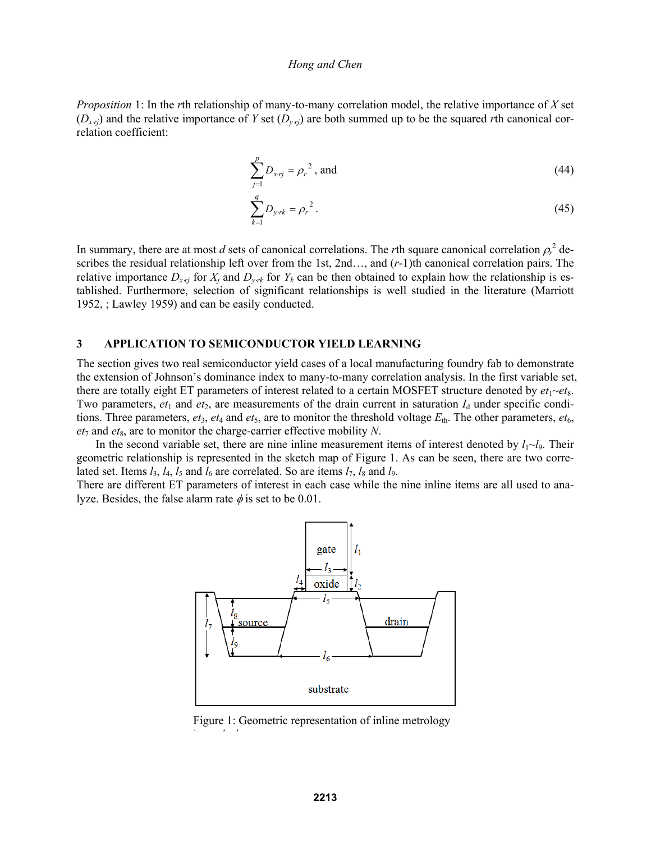*Proposition* 1: In the *r*th relationship of many-to-many correlation model, the relative importance of *X* set  $(D_{x}r_i)$  and the relative importance of *Y* set  $(D_{y}r_j)$  are both summed up to be the squared *r*th canonical correlation coefficient:

$$
\sum_{j=1}^{p} D_{x \cdot rj} = \rho_r^2
$$
, and (44)

$$
\sum_{k=1}^{q} D_{y \cdot rk} = \rho_r^2.
$$
 (45)

In summary, there are at most *d* sets of canonical correlations. The *r*th square canonical correlation  $\rho_r^2$  describes the residual relationship left over from the 1st, 2nd…, and (*r*-1)th canonical correlation pairs. The relative importance  $D_{x,y}$  for  $X_j$  and  $D_{y,k}$  for  $Y_k$  can be then obtained to explain how the relationship is established. Furthermore, selection of significant relationships is well studied in the literature (Marriott 1952, ; Lawley 1959) and can be easily conducted.

#### **3 APPLICATION TO SEMICONDUCTOR YIELD LEARNING**

The section gives two real semiconductor yield cases of a local manufacturing foundry fab to demonstrate the extension of Johnson's dominance index to many-to-many correlation analysis. In the first variable set, there are totally eight ET parameters of interest related to a certain MOSFET structure denoted by  $et_1$  $et_8$ . Two parameters,  $e t_1$  and  $e t_2$ , are measurements of the drain current in saturation  $I_d$  under specific conditions. Three parameters,  $et_3$ ,  $et_4$  and  $et_5$ , are to monitor the threshold voltage  $E_{th}$ . The other parameters,  $et_6$ , *et*7 and *et*8, are to monitor the charge-carrier effective mobility *N*.

In the second variable set, there are nine inline measurement items of interest denoted by  $l_1 \sim l_9$ . Their geometric relationship is represented in the sketch map of Figure 1. As can be seen, there are two correlated set. Items  $l_3$ ,  $l_4$ ,  $l_5$  and  $l_6$  are correlated. So are items  $l_7$ ,  $l_8$  and  $l_9$ .

There are different ET parameters of interest in each case while the nine inline items are all used to analyze. Besides, the false alarm rate  $\phi$  is set to be 0.01.



Figure 1: Geometric representation of inline metrology it *l l*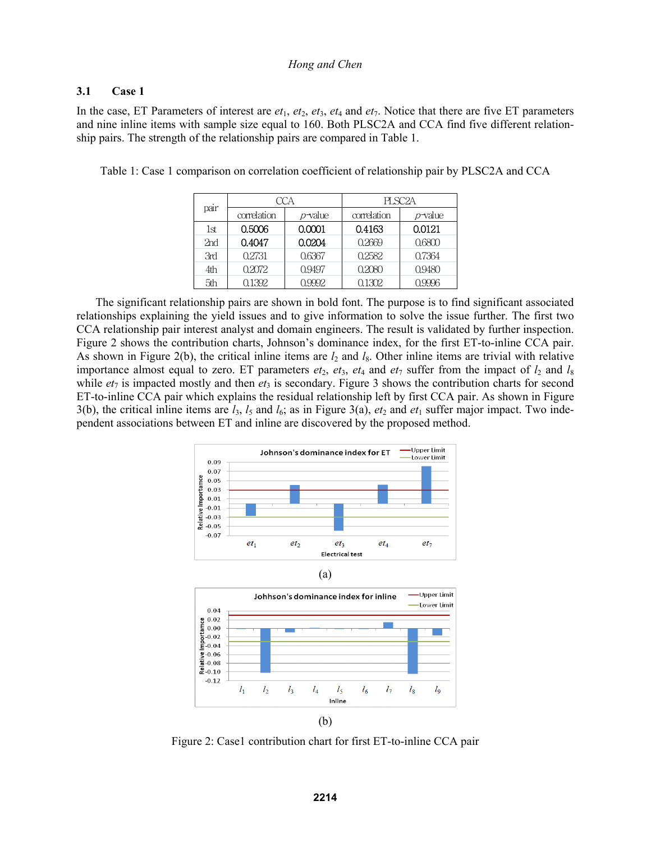#### **3.1 Case 1**

In the case, ET Parameters of interest are  $et_1$ ,  $et_2$ ,  $et_3$ ,  $et_4$  and  $et_7$ . Notice that there are five ET parameters and nine inline items with sample size equal to 160. Both PLSC2A and CCA find five different relationship pairs. The strength of the relationship pairs are compared in Table 1.

| pair | 7CA         |         | PLSC <sub>2</sub> A |         |
|------|-------------|---------|---------------------|---------|
|      | correlation | p-value | correlation         | p-value |
| 1st  | 0.5006      | 0.0001  | 0.4163              | 0.0121  |
| 2nd  | 0.4047      | 0.0204  | 0.2669              | 0.6800  |
| 3rd  | 0.2731      | 0.6367  | 0.2582              | 0.7364  |
| 4th  | 0.2072      | 0.9497  | 0.2080              | 0.9480  |
| 5th  | 0.1392      | 0.9992  | 0.1302              | 0.9996  |

Table 1: Case 1 comparison on correlation coefficient of relationship pair by PLSC2A and CCA

 The significant relationship pairs are shown in bold font. The purpose is to find significant associated relationships explaining the yield issues and to give information to solve the issue further. The first two CCA relationship pair interest analyst and domain engineers. The result is validated by further inspection. Figure 2 shows the contribution charts, Johnson's dominance index, for the first ET-to-inline CCA pair. As shown in Figure 2(b), the critical inline items are  $l_2$  and  $l_8$ . Other inline items are trivial with relative importance almost equal to zero. ET parameters  $et_2$ ,  $et_3$ ,  $et_4$  and  $et_7$  suffer from the impact of  $l_2$  and  $l_8$ while  $e t_7$  is impacted mostly and then  $e t_3$  is secondary. Figure 3 shows the contribution charts for second ET-to-inline CCA pair which explains the residual relationship left by first CCA pair. As shown in Figure 3(b), the critical inline items are  $l_3$ ,  $l_5$  and  $l_6$ ; as in Figure 3(a),  $et_2$  and  $et_1$  suffer major impact. Two independent associations between ET and inline are discovered by the proposed method.



Figure 2: Case1 contribution chart for first ET-to-inline CCA pair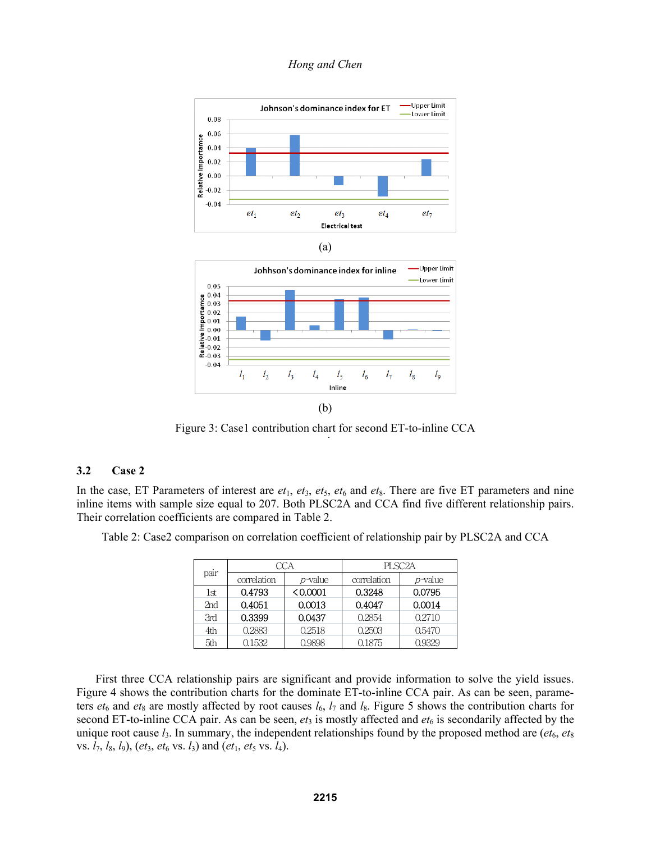

Figure 3: Case1 contribution chart for second ET-to-inline CCA i

## **3.2 Case 2**

In the case, ET Parameters of interest are  $et_1$ ,  $et_2$ ,  $et_5$ ,  $et_6$  and  $et_8$ . There are five ET parameters and nine inline items with sample size equal to 207. Both PLSC2A and CCA find five different relationship pairs. Their correlation coefficients are compared in Table 2.

Table 2: Case2 comparison on correlation coefficient of relationship pair by PLSC2A and CCA

| pair | CCA         |          | PLSC <sub>2</sub> A |                 |
|------|-------------|----------|---------------------|-----------------|
|      | correlation | p-value  | correlation         | <i>n-</i> value |
| 1st  | 0.4793      | < 0.0001 | 0.3248              | 0.0795          |
| 2nd  | 0.4051      | 0.0013   | 0.4047              | 0.0014          |
| 3rd  | 0.3399      | 0.0437   | 0.2854              | 0.2710          |
| 4th  | 0.2883      | 0.2518   | 0.2503              | 0.5470          |
| 5th  | 0.1532      | 0.9898   | 0.1875              | 0.9329          |

 First three CCA relationship pairs are significant and provide information to solve the yield issues. Figure 4 shows the contribution charts for the dominate ET-to-inline CCA pair. As can be seen, parameters  $et_6$  and  $et_8$  are mostly affected by root causes  $l_6$ ,  $l_7$  and  $l_8$ . Figure 5 shows the contribution charts for second ET-to-inline CCA pair. As can be seen,  $e^{t_3}$  is mostly affected and  $e^{t_6}$  is secondarily affected by the unique root cause  $l_3$ . In summary, the independent relationships found by the proposed method are ( $et_6$ ,  $et_8$ ) vs.  $l_7$ ,  $l_8$ ,  $l_9$ ), ( $et_3$ ,  $et_6$  vs.  $l_3$ ) and ( $et_1$ ,  $et_5$  vs.  $l_4$ ).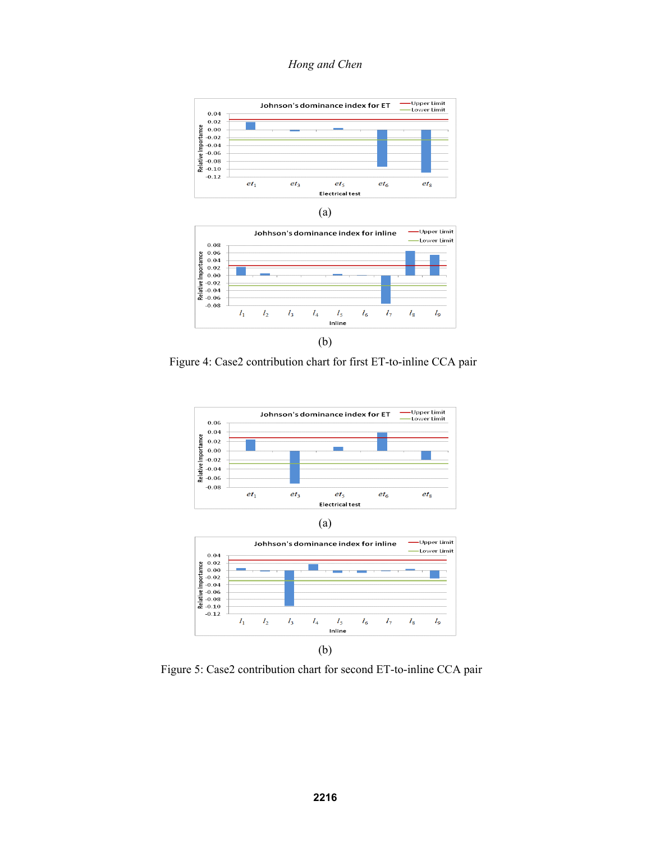



Figure 4: Case2 contribution chart for first ET-to-inline CCA pair



(b)

Figure 5: Case2 contribution chart for second ET-to-inline CCA pair